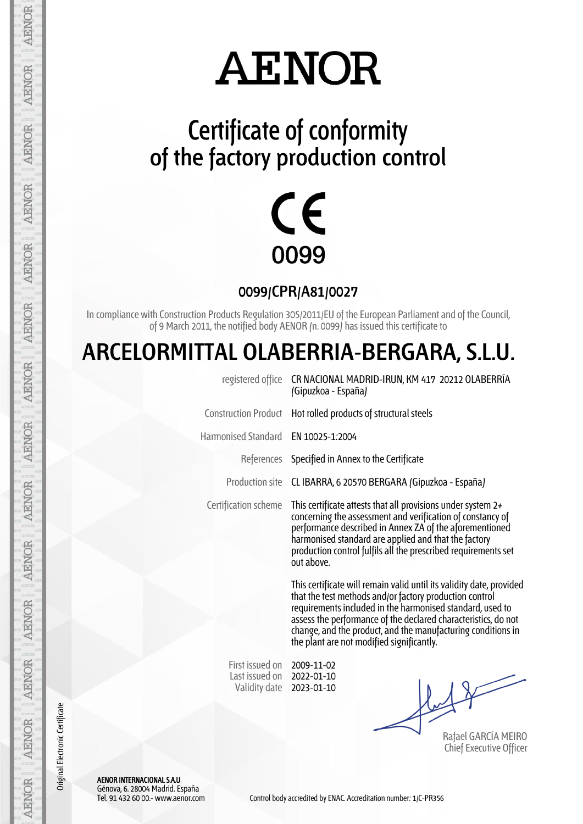### **Certificate of conformity of the factory production control**



**0099/CPR/A81/0027**

In compliance with Construction Products Regulation 305/2011/EU of the European Parliament and of the Council, of 9 March 2011, the notified body AENOR (n. 0099) has issued this certificate to

#### **ARCELORMITTAL OLABERRIA-BERGARA, S.L.U.**

| registered office                                  | CR NACIONAL MADRID-IRUN, KM 417 20212 OLABERRÍA<br>(Gipuzkoa - España)                                                                                                                                                                                                                                                                                                      |  |  |
|----------------------------------------------------|-----------------------------------------------------------------------------------------------------------------------------------------------------------------------------------------------------------------------------------------------------------------------------------------------------------------------------------------------------------------------------|--|--|
| <b>Construction Product</b>                        | Hot rolled products of structural steels                                                                                                                                                                                                                                                                                                                                    |  |  |
| Harmonised Standard                                | EN 10025-1:2004                                                                                                                                                                                                                                                                                                                                                             |  |  |
|                                                    | References Specified in Annex to the Certificate                                                                                                                                                                                                                                                                                                                            |  |  |
| Production site                                    | CL IBARRA, 6 20570 BERGARA (Gipuzkoa - España)                                                                                                                                                                                                                                                                                                                              |  |  |
| Certification scheme                               | This certificate attests that all provisions under system 2+<br>concerning the assessment and verification of constancy of<br>performance described in Annex ZA of the aforementioned<br>harmonised standard are applied and that the factory<br>production control fulfils all the prescribed requirements set<br>out above.                                               |  |  |
|                                                    | This certificate will remain valid until its validity date, provided<br>that the test methods and/or factory production control<br>requirements included in the harmonised standard, used to<br>assess the performance of the declared characteristics, do not<br>change, and the product, and the manufacturing conditions in<br>the plant are not modified significantly. |  |  |
| First issued on<br>Last issued on<br>Validity date | 2009-11-02<br>2022-01-10<br>2023-01-10<br>Rafael GARCÍA MEIRO<br><b>Chief Executive Officer</b>                                                                                                                                                                                                                                                                             |  |  |
|                                                    |                                                                                                                                                                                                                                                                                                                                                                             |  |  |

AENOR INTERNACIONAL S.A.U. Génova, 6. 28004 Madrid. España

Original Electronic Certificate

Original Electronic Certificate

AENOR

**AENOR** 

AENOR

**AENOR** 

**AENOR** 

**AENOR** 

AENOR

**AENOR** 

**AENOR** 

**AENOR** 

**AENOR** 

**AENOR** 

**AENOR**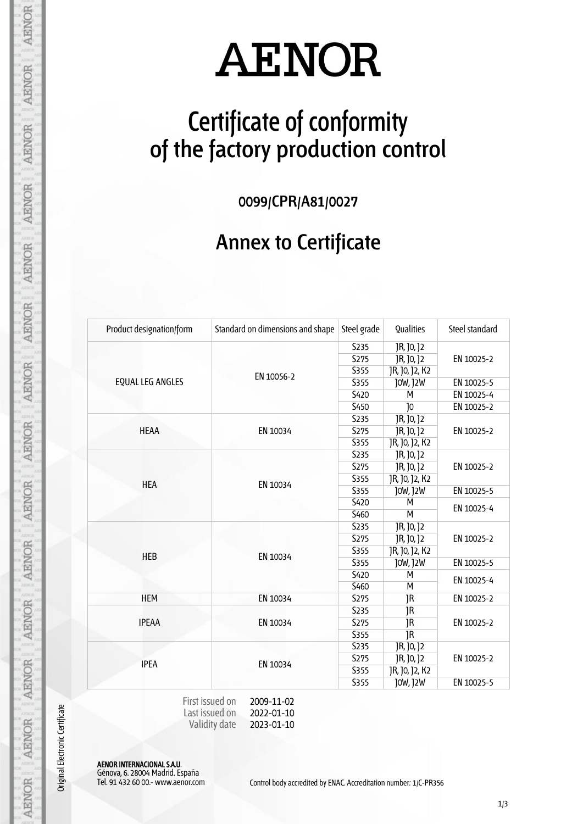### **Certificate of conformity of the factory production control**

**0099/CPR/A81/0027**

#### **Annex to Certificate**

| Product designation/form | Standard on dimensions and shape                              | Steel grade      | <b>Qualities</b> | Steel standard |
|--------------------------|---------------------------------------------------------------|------------------|------------------|----------------|
|                          | EN 10056-2                                                    | <b>S235</b>      | JR, J0, J2       | EN 10025-2     |
|                          |                                                               | <b>S275</b>      | JR, J0, J2       |                |
|                          |                                                               | <b>S355</b>      | JR, J0, J2, K2   |                |
| <b>EQUAL LEG ANGLES</b>  |                                                               | <b>S355</b>      | J0W, J2W         | EN 10025-5     |
|                          |                                                               | <b>S420</b>      | м                | EN 10025-4     |
|                          |                                                               | S450             | J <sub>0</sub>   | EN 10025-2     |
|                          |                                                               | <b>S235</b>      | JR, J0, J2       |                |
| <b>HEAA</b>              | EN 10034                                                      | <b>S275</b>      | JR, J0, J2       | EN 10025-2     |
|                          |                                                               | S355             | JR, J0, J2, K2   |                |
|                          |                                                               | <b>S235</b>      | JR, J0, J2       |                |
|                          |                                                               | <b>S275</b>      | JR, J0, J2       | EN 10025-2     |
|                          |                                                               | <b>S355</b>      | JR, J0, J2, K2   |                |
| <b>HEA</b>               | EN 10034                                                      | <b>S355</b>      | J0W, J2W         | EN 10025-5     |
|                          |                                                               | <b>S420</b>      | м                | EN 10025-4     |
|                          |                                                               | S <sub>460</sub> | M                |                |
|                          | EN 10034                                                      | <b>S235</b>      | JR, J0, J2       | EN 10025-2     |
|                          |                                                               | <b>S275</b>      | JR, J0, J2       |                |
| <b>HEB</b>               |                                                               | S355             | JR, J0, J2, K2   |                |
|                          |                                                               | <b>S355</b>      | J0W, J2W         | EN 10025-5     |
|                          |                                                               | S <sub>420</sub> | м                |                |
|                          |                                                               | <b>S460</b>      | M                | EN 10025-4     |
| <b>HEM</b>               | EN 10034                                                      | <b>S275</b>      | JR               | EN 10025-2     |
| <b>IPEAA</b>             | EN 10034                                                      | <b>S235</b>      | JR               | EN 10025-2     |
|                          |                                                               | S <sub>275</sub> | JR.              |                |
|                          |                                                               | <b>S355</b>      | JR               |                |
| <b>IPEA</b>              | EN 10034                                                      | <b>S235</b>      | JR, J0, J2       | EN 10025-2     |
|                          |                                                               | S275             | JR, J0, J2       |                |
|                          |                                                               | <b>S355</b>      | JR, J0, J2, K2   |                |
|                          |                                                               | <b>S355</b>      | J0W, J2W         | EN 10025-5     |
|                          | First issued on<br>2009-11-02<br>Last issued on<br>2022-01-10 |                  |                  |                |

Last issued on Validity date 2022-01-10 2023-01-10

AENOR INTERNACIONAL S.A.U. Génova, 6. 28004 Madrid. España

Original Electronic Certificate

**AENOR** 

**AENOR** 

AENOR

**AENOR** 

**AENOR** 

**AENOR** 

**AENOR** 

**AENOR** 

**AENOR** 

AENOR

**AENOR** 

AENOR

**AENOR**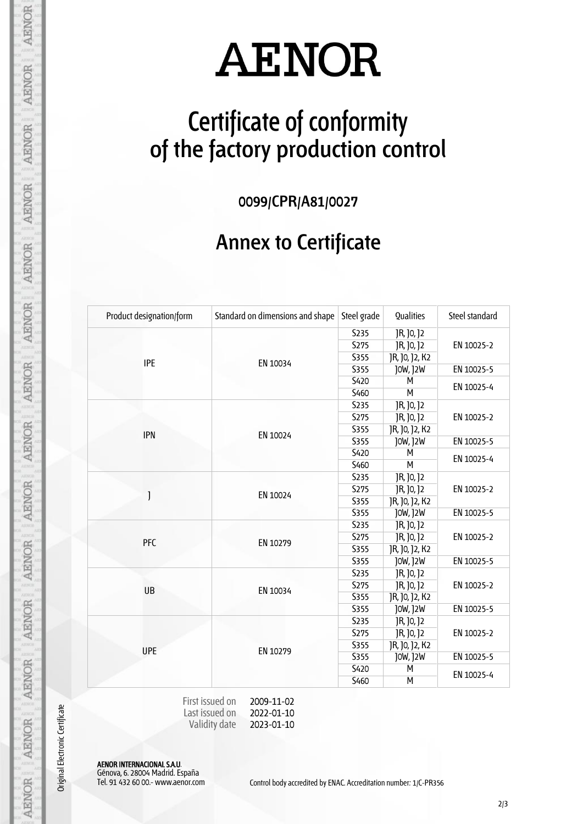### **Certificate of conformity of the factory production control**

**0099/CPR/A81/0027**

#### **Annex to Certificate**

| Product designation/form | Standard on dimensions and shape | Steel grade | Qualities      | Steel standard |
|--------------------------|----------------------------------|-------------|----------------|----------------|
|                          |                                  | <b>S235</b> | JR, J0, J2     | EN 10025-2     |
|                          | EN 10034                         | S275        | JR, J0, J2     |                |
| <b>IPE</b>               |                                  | S355        | JR, J0, J2, K2 |                |
|                          |                                  | S355        | J0W, J2W       | EN 10025-5     |
|                          |                                  | <b>S420</b> | М              | EN 10025-4     |
|                          |                                  | S460        | M              |                |
|                          |                                  | S235        | JR, J0, J2     |                |
|                          |                                  | <b>S275</b> | JR, J0, J2     | EN 10025-2     |
| <b>IPN</b>               |                                  | <b>S355</b> | JR, J0, J2, K2 |                |
|                          | EN 10024                         | <b>S355</b> | J0W, J2W       | EN 10025-5     |
|                          |                                  | <b>S420</b> | м              |                |
|                          |                                  | S460        | М              | EN 10025-4     |
|                          |                                  | <b>S235</b> | JR, J0, J2     | EN 10025-2     |
|                          | EN 10024                         | <b>S275</b> | JR, J0, J2     |                |
| J                        |                                  | <b>S355</b> | JR, J0, J2, K2 |                |
|                          |                                  | <b>S355</b> | J0W, J2W       | EN 10025-5     |
|                          | EN 10279                         | S235        | JR, J0, J2     |                |
| <b>PFC</b>               |                                  | S275        | JR, J0, J2     | EN 10025-2     |
|                          |                                  | <b>S355</b> | JR, J0, J2, K2 |                |
|                          |                                  | <b>S355</b> | J0W, J2W       | EN 10025-5     |
|                          |                                  | <b>S235</b> | JR, J0, J2     |                |
| <b>UB</b>                | EN 10034                         | <b>S275</b> | JR, J0, J2     | EN 10025-2     |
|                          |                                  | <b>S355</b> | JR, J0, J2, K2 |                |
|                          |                                  | <b>S355</b> | J0W, J2W       | EN 10025-5     |
| <b>UPE</b>               |                                  | <b>S235</b> | JR, J0, J2     | EN 10025-2     |
|                          | EN 10279                         | <b>S275</b> | JR, JO, J2     |                |
|                          |                                  | S355        | JR, J0, J2, K2 |                |
|                          |                                  | <b>S355</b> | J0W, J2W       | EN 10025-5     |
|                          |                                  | <b>S420</b> | м              | EN 10025-4     |
|                          |                                  | S460        | м              |                |

| First issued on | 2009-11-02 |
|-----------------|------------|
| Last issued on  | 2022-01-10 |
| Validity date   | 2023-01-10 |

AENOR INTERNACIONAL S.A.U. Génova, 6. 28004 Madrid. España

Original Electronic Certificate

**AENOR** 

**AENOR** 

AENOR

**AENOR** 

**AENOR** 

**AENOR** 

**AENOR** 

**AENOR** 

**AENOR** 

AENOR

**AENOR** 

**AENOR** 

**AENOR**